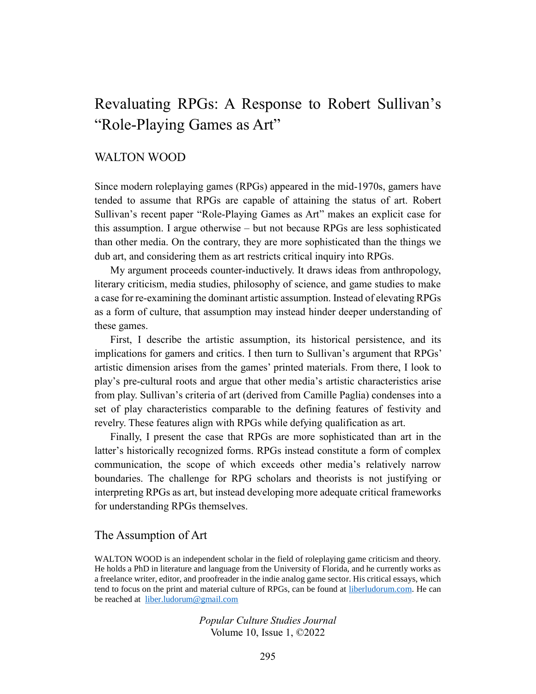# Revaluating RPGs: A Response to Robert Sullivan's "Role-Playing Games as Art"

# WALTON WOOD

Since modern roleplaying games (RPGs) appeared in the mid-1970s, gamers have tended to assume that RPGs are capable of attaining the status of art. Robert Sullivan's recent paper "Role-Playing Games as Art" makes an explicit case for this assumption. I argue otherwise – but not because RPGs are less sophisticated than other media. On the contrary, they are more sophisticated than the things we dub art, and considering them as art restricts critical inquiry into RPGs.

My argument proceeds counter-inductively. It draws ideas from anthropology, literary criticism, media studies, philosophy of science, and game studies to make a case for re-examining the dominant artistic assumption. Instead of elevating RPGs as a form of culture, that assumption may instead hinder deeper understanding of these games.

First, I describe the artistic assumption, its historical persistence, and its implications for gamers and critics. I then turn to Sullivan's argument that RPGs' artistic dimension arises from the games' printed materials. From there, I look to play's pre-cultural roots and argue that other media's artistic characteristics arise from play. Sullivan's criteria of art (derived from Camille Paglia) condenses into a set of play characteristics comparable to the defining features of festivity and revelry. These features align with RPGs while defying qualification as art.

Finally, I present the case that RPGs are more sophisticated than art in the latter's historically recognized forms. RPGs instead constitute a form of complex communication, the scope of which exceeds other media's relatively narrow boundaries. The challenge for RPG scholars and theorists is not justifying or interpreting RPGs as art, but instead developing more adequate critical frameworks for understanding RPGs themselves.

## The Assumption of Art

WALTON WOOD is an independent scholar in the field of roleplaying game criticism and theory. He holds a PhD in literature and language from the University of Florida, and he currently works as a freelance writer, editor, and proofreader in the indie analog game sector. His critical essays, which tend to focus on the print and material culture of RPGs, can be found at [liberludorum.com.](https://liberludorum.com/) He can be reached at [liber.ludorum@gmail.com](mailto:liber.ludorum@gmail.com)

> *Popular Culture Studies Journal* Volume 10, Issue 1, ©2022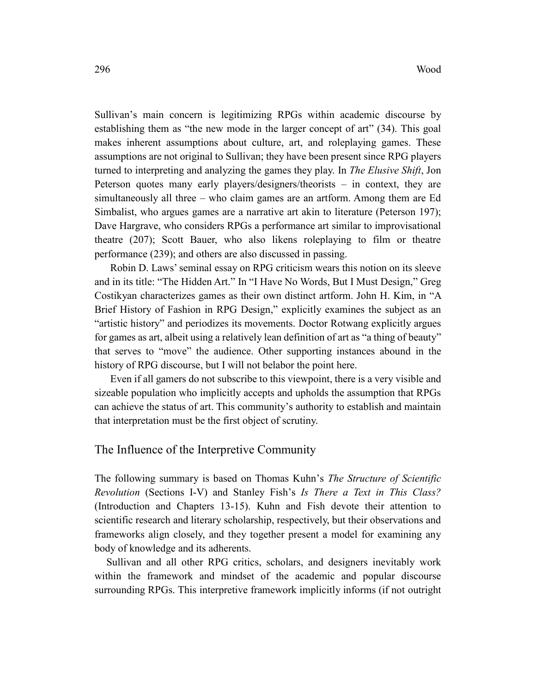Sullivan's main concern is legitimizing RPGs within academic discourse by establishing them as "the new mode in the larger concept of art" (34). This goal makes inherent assumptions about culture, art, and roleplaying games. These assumptions are not original to Sullivan; they have been present since RPG players turned to interpreting and analyzing the games they play. In *The Elusive Shift*, Jon Peterson quotes many early players/designers/theorists – in context, they are simultaneously all three – who claim games are an artform. Among them are Ed Simbalist, who argues games are a narrative art akin to literature (Peterson 197); Dave Hargrave, who considers RPGs a performance art similar to improvisational theatre (207); Scott Bauer, who also likens roleplaying to film or theatre performance (239); and others are also discussed in passing.

Robin D. Laws' seminal essay on RPG criticism wears this notion on its sleeve and in its title: "The Hidden Art." In "I Have No Words, But I Must Design," Greg Costikyan characterizes games as their own distinct artform. John H. Kim, in "A Brief History of Fashion in RPG Design," explicitly examines the subject as an "artistic history" and periodizes its movements. Doctor Rotwang explicitly argues for games as art, albeit using a relatively lean definition of art as "a thing of beauty" that serves to "move" the audience. Other supporting instances abound in the history of RPG discourse, but I will not belabor the point here.

Even if all gamers do not subscribe to this viewpoint, there is a very visible and sizeable population who implicitly accepts and upholds the assumption that RPGs can achieve the status of art. This community's authority to establish and maintain that interpretation must be the first object of scrutiny.

# The Influence of the Interpretive Community

The following summary is based on Thomas Kuhn's *The Structure of Scientific Revolution* (Sections I-V) and Stanley Fish's *Is There a Text in This Class?* (Introduction and Chapters 13-15). Kuhn and Fish devote their attention to scientific research and literary scholarship, respectively, but their observations and frameworks align closely, and they together present a model for examining any body of knowledge and its adherents.

Sullivan and all other RPG critics, scholars, and designers inevitably work within the framework and mindset of the academic and popular discourse surrounding RPGs. This interpretive framework implicitly informs (if not outright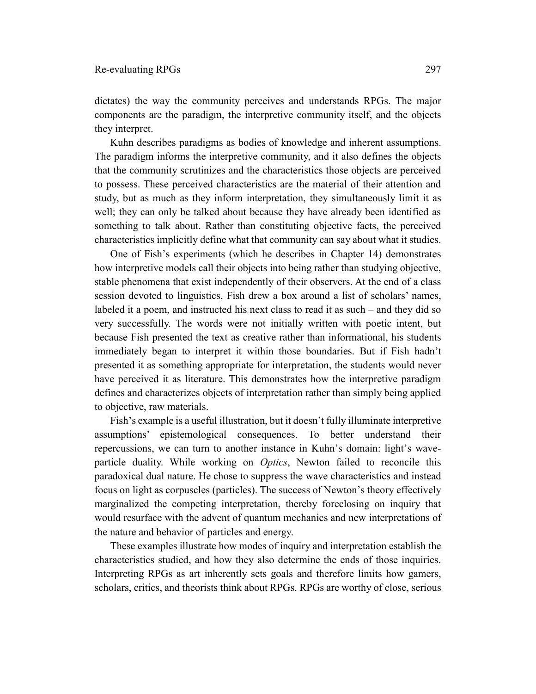dictates) the way the community perceives and understands RPGs. The major components are the paradigm, the interpretive community itself, and the objects they interpret.

Kuhn describes paradigms as bodies of knowledge and inherent assumptions. The paradigm informs the interpretive community, and it also defines the objects that the community scrutinizes and the characteristics those objects are perceived to possess. These perceived characteristics are the material of their attention and study, but as much as they inform interpretation, they simultaneously limit it as well; they can only be talked about because they have already been identified as something to talk about. Rather than constituting objective facts, the perceived characteristics implicitly define what that community can say about what it studies.

One of Fish's experiments (which he describes in Chapter 14) demonstrates how interpretive models call their objects into being rather than studying objective, stable phenomena that exist independently of their observers. At the end of a class session devoted to linguistics, Fish drew a box around a list of scholars' names, labeled it a poem, and instructed his next class to read it as such – and they did so very successfully. The words were not initially written with poetic intent, but because Fish presented the text as creative rather than informational, his students immediately began to interpret it within those boundaries. But if Fish hadn't presented it as something appropriate for interpretation, the students would never have perceived it as literature. This demonstrates how the interpretive paradigm defines and characterizes objects of interpretation rather than simply being applied to objective, raw materials.

Fish's example is a useful illustration, but it doesn't fully illuminate interpretive assumptions' epistemological consequences. To better understand their repercussions, we can turn to another instance in Kuhn's domain: light's waveparticle duality. While working on *Optics*, Newton failed to reconcile this paradoxical dual nature. He chose to suppress the wave characteristics and instead focus on light as corpuscles (particles). The success of Newton's theory effectively marginalized the competing interpretation, thereby foreclosing on inquiry that would resurface with the advent of quantum mechanics and new interpretations of the nature and behavior of particles and energy.

These examples illustrate how modes of inquiry and interpretation establish the characteristics studied, and how they also determine the ends of those inquiries. Interpreting RPGs as art inherently sets goals and therefore limits how gamers, scholars, critics, and theorists think about RPGs. RPGs are worthy of close, serious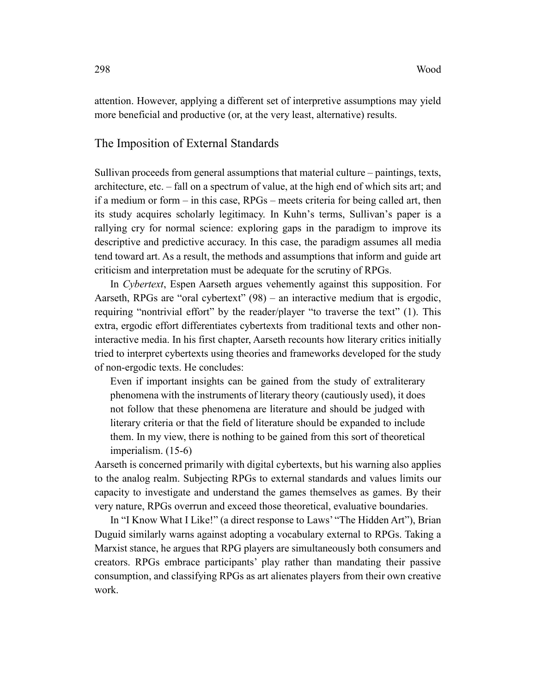attention. However, applying a different set of interpretive assumptions may yield more beneficial and productive (or, at the very least, alternative) results.

## The Imposition of External Standards

Sullivan proceeds from general assumptions that material culture – paintings, texts, architecture, etc. – fall on a spectrum of value, at the high end of which sits art; and if a medium or form – in this case, RPGs – meets criteria for being called art, then its study acquires scholarly legitimacy. In Kuhn's terms, Sullivan's paper is a rallying cry for normal science: exploring gaps in the paradigm to improve its descriptive and predictive accuracy. In this case, the paradigm assumes all media tend toward art. As a result, the methods and assumptions that inform and guide art criticism and interpretation must be adequate for the scrutiny of RPGs.

In *Cybertext*, Espen Aarseth argues vehemently against this supposition. For Aarseth, RPGs are "oral cybertext" (98) – an interactive medium that is ergodic, requiring "nontrivial effort" by the reader/player "to traverse the text" (1). This extra, ergodic effort differentiates cybertexts from traditional texts and other noninteractive media. In his first chapter, Aarseth recounts how literary critics initially tried to interpret cybertexts using theories and frameworks developed for the study of non-ergodic texts. He concludes:

Even if important insights can be gained from the study of extraliterary phenomena with the instruments of literary theory (cautiously used), it does not follow that these phenomena are literature and should be judged with literary criteria or that the field of literature should be expanded to include them. In my view, there is nothing to be gained from this sort of theoretical imperialism. (15-6)

Aarseth is concerned primarily with digital cybertexts, but his warning also applies to the analog realm. Subjecting RPGs to external standards and values limits our capacity to investigate and understand the games themselves as games. By their very nature, RPGs overrun and exceed those theoretical, evaluative boundaries.

In "I Know What I Like!" (a direct response to Laws' "The Hidden Art"), Brian Duguid similarly warns against adopting a vocabulary external to RPGs. Taking a Marxist stance, he argues that RPG players are simultaneously both consumers and creators. RPGs embrace participants' play rather than mandating their passive consumption, and classifying RPGs as art alienates players from their own creative work.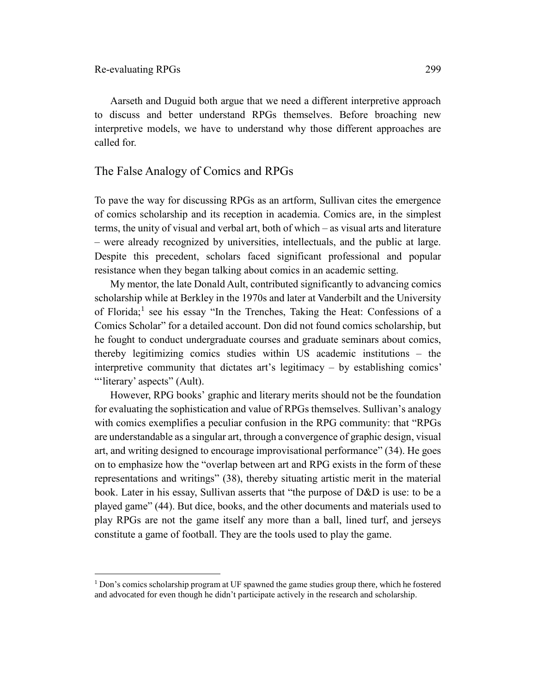$\overline{a}$ 

Aarseth and Duguid both argue that we need a different interpretive approach to discuss and better understand RPGs themselves. Before broaching new interpretive models, we have to understand why those different approaches are called for.

# The False Analogy of Comics and RPGs

To pave the way for discussing RPGs as an artform, Sullivan cites the emergence of comics scholarship and its reception in academia. Comics are, in the simplest terms, the unity of visual and verbal art, both of which – as visual arts and literature – were already recognized by universities, intellectuals, and the public at large. Despite this precedent, scholars faced significant professional and popular resistance when they began talking about comics in an academic setting.

My mentor, the late Donald Ault, contributed significantly to advancing comics scholarship while at Berkley in the 1970s and later at Vanderbilt and the University of Florida;<sup>1</sup> see his essay "In the Trenches, Taking the Heat: Confessions of a Comics Scholar" for a detailed account. Don did not found comics scholarship, but he fought to conduct undergraduate courses and graduate seminars about comics, thereby legitimizing comics studies within US academic institutions – the interpretive community that dictates art's legitimacy – by establishing comics' "'literary' aspects" (Ault).

However, RPG books' graphic and literary merits should not be the foundation for evaluating the sophistication and value of RPGs themselves. Sullivan's analogy with comics exemplifies a peculiar confusion in the RPG community: that "RPGs are understandable as a singular art, through a convergence of graphic design, visual art, and writing designed to encourage improvisational performance" (34). He goes on to emphasize how the "overlap between art and RPG exists in the form of these representations and writings" (38), thereby situating artistic merit in the material book. Later in his essay, Sullivan asserts that "the purpose of D&D is use: to be a played game" (44). But dice, books, and the other documents and materials used to play RPGs are not the game itself any more than a ball, lined turf, and jerseys constitute a game of football. They are the tools used to play the game.

<sup>&</sup>lt;sup>1</sup> Don's comics scholarship program at UF spawned the game studies group there, which he fostered and advocated for even though he didn't participate actively in the research and scholarship.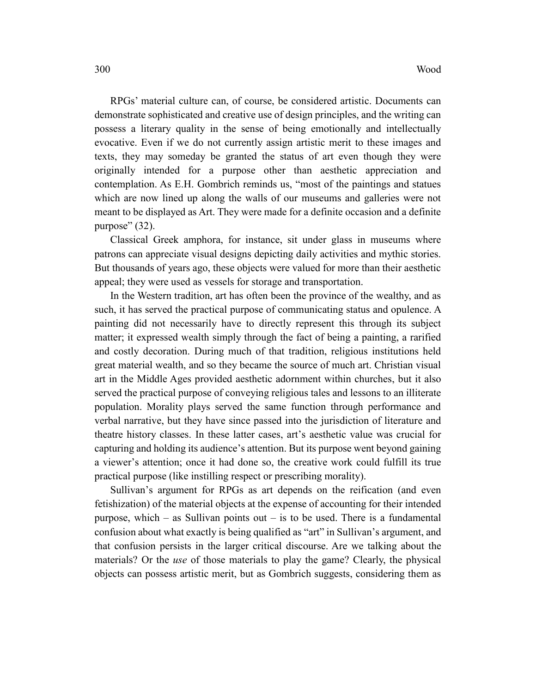RPGs' material culture can, of course, be considered artistic. Documents can demonstrate sophisticated and creative use of design principles, and the writing can possess a literary quality in the sense of being emotionally and intellectually evocative. Even if we do not currently assign artistic merit to these images and texts, they may someday be granted the status of art even though they were originally intended for a purpose other than aesthetic appreciation and contemplation. As E.H. Gombrich reminds us, "most of the paintings and statues which are now lined up along the walls of our museums and galleries were not meant to be displayed as Art. They were made for a definite occasion and a definite purpose" (32).

Classical Greek amphora, for instance, sit under glass in museums where patrons can appreciate visual designs depicting daily activities and mythic stories. But thousands of years ago, these objects were valued for more than their aesthetic appeal; they were used as vessels for storage and transportation.

In the Western tradition, art has often been the province of the wealthy, and as such, it has served the practical purpose of communicating status and opulence. A painting did not necessarily have to directly represent this through its subject matter; it expressed wealth simply through the fact of being a painting, a rarified and costly decoration. During much of that tradition, religious institutions held great material wealth, and so they became the source of much art. Christian visual art in the Middle Ages provided aesthetic adornment within churches, but it also served the practical purpose of conveying religious tales and lessons to an illiterate population. Morality plays served the same function through performance and verbal narrative, but they have since passed into the jurisdiction of literature and theatre history classes. In these latter cases, art's aesthetic value was crucial for capturing and holding its audience's attention. But its purpose went beyond gaining a viewer's attention; once it had done so, the creative work could fulfill its true practical purpose (like instilling respect or prescribing morality).

Sullivan's argument for RPGs as art depends on the reification (and even fetishization) of the material objects at the expense of accounting for their intended purpose, which – as Sullivan points out – is to be used. There is a fundamental confusion about what exactly is being qualified as "art" in Sullivan's argument, and that confusion persists in the larger critical discourse. Are we talking about the materials? Or the *use* of those materials to play the game? Clearly, the physical objects can possess artistic merit, but as Gombrich suggests, considering them as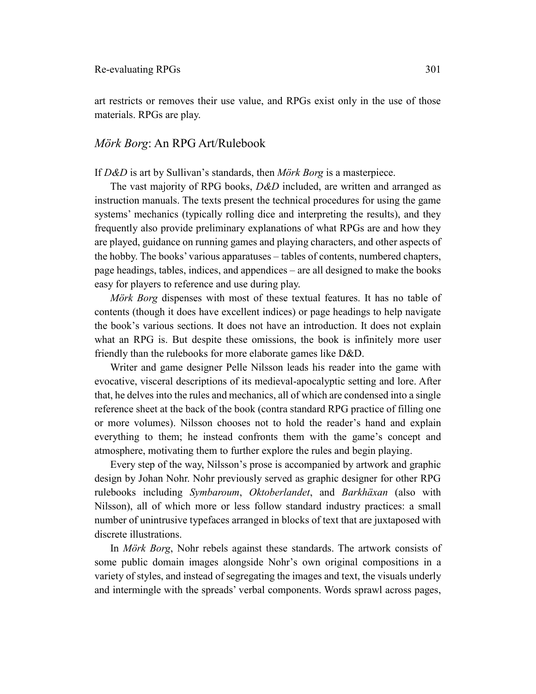art restricts or removes their use value, and RPGs exist only in the use of those materials. RPGs are play.

# *Mörk Borg*: An RPG Art/Rulebook

#### If *D&D* is art by Sullivan's standards, then *Mörk Borg* is a masterpiece.

The vast majority of RPG books, *D&D* included, are written and arranged as instruction manuals. The texts present the technical procedures for using the game systems' mechanics (typically rolling dice and interpreting the results), and they frequently also provide preliminary explanations of what RPGs are and how they are played, guidance on running games and playing characters, and other aspects of the hobby. The books' various apparatuses – tables of contents, numbered chapters, page headings, tables, indices, and appendices – are all designed to make the books easy for players to reference and use during play.

*Mörk Borg* dispenses with most of these textual features. It has no table of contents (though it does have excellent indices) or page headings to help navigate the book's various sections. It does not have an introduction. It does not explain what an RPG is. But despite these omissions, the book is infinitely more user friendly than the rulebooks for more elaborate games like D&D.

Writer and game designer Pelle Nilsson leads his reader into the game with evocative, visceral descriptions of its medieval-apocalyptic setting and lore. After that, he delves into the rules and mechanics, all of which are condensed into a single reference sheet at the back of the book (contra standard RPG practice of filling one or more volumes). Nilsson chooses not to hold the reader's hand and explain everything to them; he instead confronts them with the game's concept and atmosphere, motivating them to further explore the rules and begin playing.

Every step of the way, Nilsson's prose is accompanied by artwork and graphic design by Johan Nohr. Nohr previously served as graphic designer for other RPG rulebooks including *Symbaroum*, *Oktoberlandet*, and *Barkhäxan* (also with Nilsson), all of which more or less follow standard industry practices: a small number of unintrusive typefaces arranged in blocks of text that are juxtaposed with discrete illustrations.

In *Mörk Borg*, Nohr rebels against these standards. The artwork consists of some public domain images alongside Nohr's own original compositions in a variety of styles, and instead of segregating the images and text, the visuals underly and intermingle with the spreads' verbal components. Words sprawl across pages,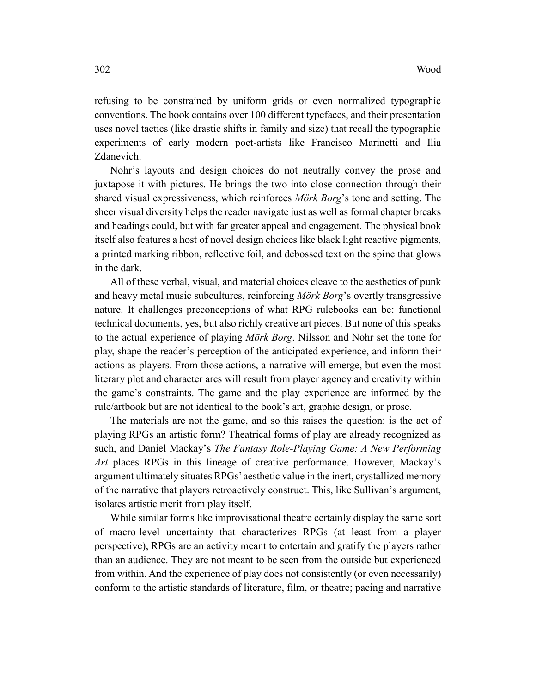refusing to be constrained by uniform grids or even normalized typographic conventions. The book contains over 100 different typefaces, and their presentation uses novel tactics (like drastic shifts in family and size) that recall the typographic experiments of early modern poet-artists like Francisco Marinetti and Ilia Zdanevich.

Nohr's layouts and design choices do not neutrally convey the prose and juxtapose it with pictures. He brings the two into close connection through their shared visual expressiveness, which reinforces *Mörk Borg*'s tone and setting. The sheer visual diversity helps the reader navigate just as well as formal chapter breaks and headings could, but with far greater appeal and engagement. The physical book itself also features a host of novel design choices like black light reactive pigments, a printed marking ribbon, reflective foil, and debossed text on the spine that glows in the dark.

All of these verbal, visual, and material choices cleave to the aesthetics of punk and heavy metal music subcultures, reinforcing *Mörk Borg*'s overtly transgressive nature. It challenges preconceptions of what RPG rulebooks can be: functional technical documents, yes, but also richly creative art pieces. But none of this speaks to the actual experience of playing *Mörk Borg*. Nilsson and Nohr set the tone for play, shape the reader's perception of the anticipated experience, and inform their actions as players. From those actions, a narrative will emerge, but even the most literary plot and character arcs will result from player agency and creativity within the game's constraints. The game and the play experience are informed by the rule/artbook but are not identical to the book's art, graphic design, or prose.

The materials are not the game, and so this raises the question: is the act of playing RPGs an artistic form? Theatrical forms of play are already recognized as such, and Daniel Mackay's *The Fantasy Role-Playing Game: A New Performing Art* places RPGs in this lineage of creative performance. However, Mackay's argument ultimately situates RPGs' aesthetic value in the inert, crystallized memory of the narrative that players retroactively construct. This, like Sullivan's argument, isolates artistic merit from play itself.

While similar forms like improvisational theatre certainly display the same sort of macro-level uncertainty that characterizes RPGs (at least from a player perspective), RPGs are an activity meant to entertain and gratify the players rather than an audience. They are not meant to be seen from the outside but experienced from within. And the experience of play does not consistently (or even necessarily) conform to the artistic standards of literature, film, or theatre; pacing and narrative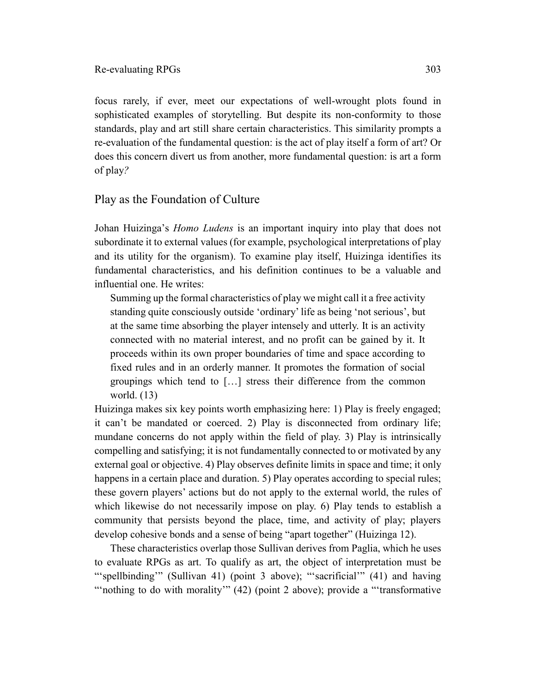focus rarely, if ever, meet our expectations of well-wrought plots found in sophisticated examples of storytelling. But despite its non-conformity to those standards, play and art still share certain characteristics. This similarity prompts a re-evaluation of the fundamental question: is the act of play itself a form of art? Or does this concern divert us from another, more fundamental question: is art a form of play*?*

# Play as the Foundation of Culture

Johan Huizinga's *Homo Ludens* is an important inquiry into play that does not subordinate it to external values (for example, psychological interpretations of play and its utility for the organism). To examine play itself, Huizinga identifies its fundamental characteristics, and his definition continues to be a valuable and influential one. He writes:

Summing up the formal characteristics of play we might call it a free activity standing quite consciously outside 'ordinary' life as being 'not serious', but at the same time absorbing the player intensely and utterly. It is an activity connected with no material interest, and no profit can be gained by it. It proceeds within its own proper boundaries of time and space according to fixed rules and in an orderly manner. It promotes the formation of social groupings which tend to […] stress their difference from the common world. (13)

Huizinga makes six key points worth emphasizing here: 1) Play is freely engaged; it can't be mandated or coerced. 2) Play is disconnected from ordinary life; mundane concerns do not apply within the field of play. 3) Play is intrinsically compelling and satisfying; it is not fundamentally connected to or motivated by any external goal or objective. 4) Play observes definite limits in space and time; it only happens in a certain place and duration. 5) Play operates according to special rules; these govern players' actions but do not apply to the external world, the rules of which likewise do not necessarily impose on play. 6) Play tends to establish a community that persists beyond the place, time, and activity of play; players develop cohesive bonds and a sense of being "apart together" (Huizinga 12).

These characteristics overlap those Sullivan derives from Paglia, which he uses to evaluate RPGs as art. To qualify as art, the object of interpretation must be "spellbinding" (Sullivan 41) (point 3 above); "sacrificial" (41) and having "nothing to do with morality" (42) (point 2 above); provide a "'transformative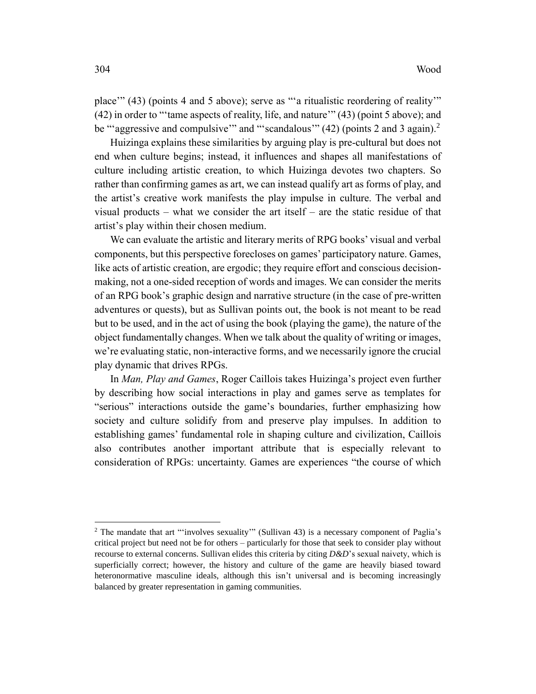place" (43) (points 4 and 5 above); serve as "'a ritualistic reordering of reality" (42) in order to "'tame aspects of reality, life, and nature'" (43) (point 5 above); and be "'aggressive and compulsive'" and "'scandalous'"  $(42)$  (points 2 and 3 again).<sup>2</sup>

Huizinga explains these similarities by arguing play is pre-cultural but does not end when culture begins; instead, it influences and shapes all manifestations of culture including artistic creation, to which Huizinga devotes two chapters. So rather than confirming games as art, we can instead qualify art as forms of play, and the artist's creative work manifests the play impulse in culture. The verbal and visual products – what we consider the art itself – are the static residue of that artist's play within their chosen medium.

We can evaluate the artistic and literary merits of RPG books' visual and verbal components, but this perspective forecloses on games' participatory nature. Games, like acts of artistic creation, are ergodic; they require effort and conscious decisionmaking, not a one-sided reception of words and images. We can consider the merits of an RPG book's graphic design and narrative structure (in the case of pre-written adventures or quests), but as Sullivan points out, the book is not meant to be read but to be used, and in the act of using the book (playing the game), the nature of the object fundamentally changes. When we talk about the quality of writing or images, we're evaluating static, non-interactive forms, and we necessarily ignore the crucial play dynamic that drives RPGs.

In *Man, Play and Games*, Roger Caillois takes Huizinga's project even further by describing how social interactions in play and games serve as templates for "serious" interactions outside the game's boundaries, further emphasizing how society and culture solidify from and preserve play impulses. In addition to establishing games' fundamental role in shaping culture and civilization, Caillois also contributes another important attribute that is especially relevant to consideration of RPGs: uncertainty. Games are experiences "the course of which

 $\overline{a}$ 

<sup>2</sup> The mandate that art "'involves sexuality'" (Sullivan 43) is a necessary component of Paglia's critical project but need not be for others – particularly for those that seek to consider play without recourse to external concerns. Sullivan elides this criteria by citing *D&D*'s sexual naivety, which is superficially correct; however, the history and culture of the game are heavily biased toward heteronormative masculine ideals, although this isn't universal and is becoming increasingly balanced by greater representation in gaming communities.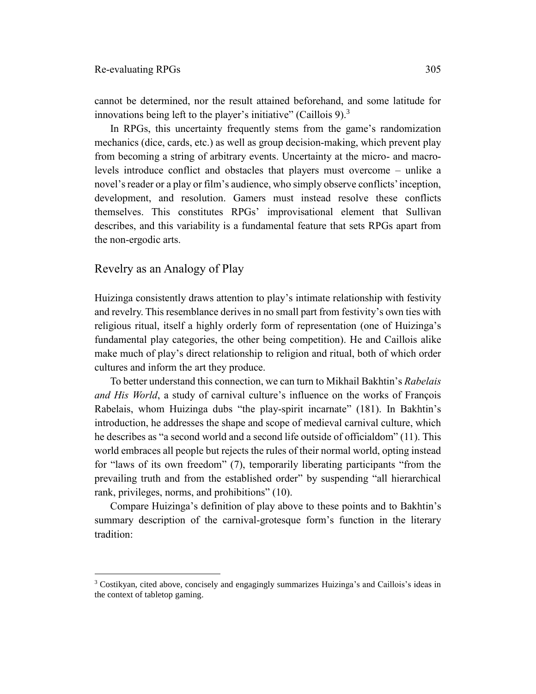cannot be determined, nor the result attained beforehand, and some latitude for innovations being left to the player's initiative" (Caillois  $9$ ).<sup>3</sup>

In RPGs, this uncertainty frequently stems from the game's randomization mechanics (dice, cards, etc.) as well as group decision-making, which prevent play from becoming a string of arbitrary events. Uncertainty at the micro- and macrolevels introduce conflict and obstacles that players must overcome – unlike a novel's reader or a play or film's audience, who simply observe conflicts' inception, development, and resolution. Gamers must instead resolve these conflicts themselves. This constitutes RPGs' improvisational element that Sullivan describes, and this variability is a fundamental feature that sets RPGs apart from the non-ergodic arts.

# Revelry as an Analogy of Play

 $\overline{a}$ 

Huizinga consistently draws attention to play's intimate relationship with festivity and revelry. This resemblance derives in no small part from festivity's own ties with religious ritual, itself a highly orderly form of representation (one of Huizinga's fundamental play categories, the other being competition). He and Caillois alike make much of play's direct relationship to religion and ritual, both of which order cultures and inform the art they produce.

To better understand this connection, we can turn to Mikhail Bakhtin's *Rabelais and His World*, a study of carnival culture's influence on the works of François Rabelais, whom Huizinga dubs "the play-spirit incarnate" (181). In Bakhtin's introduction, he addresses the shape and scope of medieval carnival culture, which he describes as "a second world and a second life outside of officialdom" (11). This world embraces all people but rejects the rules of their normal world, opting instead for "laws of its own freedom" (7), temporarily liberating participants "from the prevailing truth and from the established order" by suspending "all hierarchical rank, privileges, norms, and prohibitions" (10).

Compare Huizinga's definition of play above to these points and to Bakhtin's summary description of the carnival-grotesque form's function in the literary tradition:

<sup>3</sup> Costikyan, cited above, concisely and engagingly summarizes Huizinga's and Caillois's ideas in the context of tabletop gaming.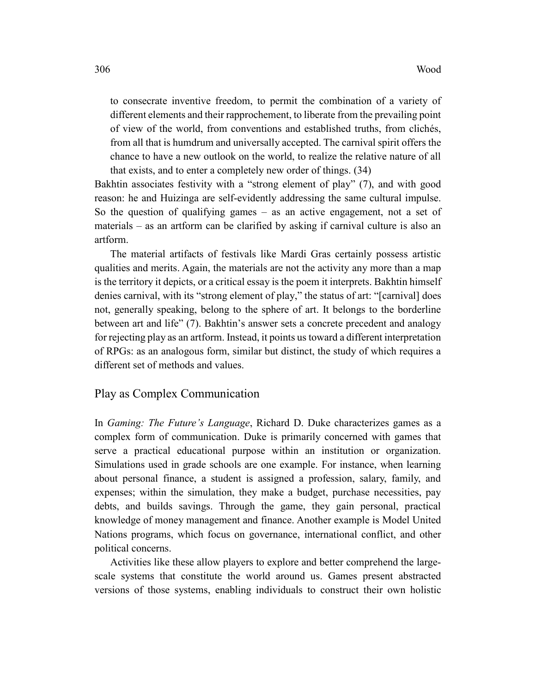to consecrate inventive freedom, to permit the combination of a variety of different elements and their rapprochement, to liberate from the prevailing point of view of the world, from conventions and established truths, from clichés, from all that is humdrum and universally accepted. The carnival spirit offers the chance to have a new outlook on the world, to realize the relative nature of all that exists, and to enter a completely new order of things. (34)

Bakhtin associates festivity with a "strong element of play" (7), and with good reason: he and Huizinga are self-evidently addressing the same cultural impulse. So the question of qualifying games – as an active engagement, not a set of materials – as an artform can be clarified by asking if carnival culture is also an artform.

The material artifacts of festivals like Mardi Gras certainly possess artistic qualities and merits. Again, the materials are not the activity any more than a map is the territory it depicts, or a critical essay is the poem it interprets. Bakhtin himself denies carnival, with its "strong element of play," the status of art: "[carnival] does not, generally speaking, belong to the sphere of art. It belongs to the borderline between art and life" (7). Bakhtin's answer sets a concrete precedent and analogy for rejecting play as an artform. Instead, it points us toward a different interpretation of RPGs: as an analogous form, similar but distinct, the study of which requires a different set of methods and values.

#### Play as Complex Communication

In *Gaming: The Future's Language*, Richard D. Duke characterizes games as a complex form of communication. Duke is primarily concerned with games that serve a practical educational purpose within an institution or organization. Simulations used in grade schools are one example. For instance, when learning about personal finance, a student is assigned a profession, salary, family, and expenses; within the simulation, they make a budget, purchase necessities, pay debts, and builds savings. Through the game, they gain personal, practical knowledge of money management and finance. Another example is Model United Nations programs, which focus on governance, international conflict, and other political concerns.

Activities like these allow players to explore and better comprehend the largescale systems that constitute the world around us. Games present abstracted versions of those systems, enabling individuals to construct their own holistic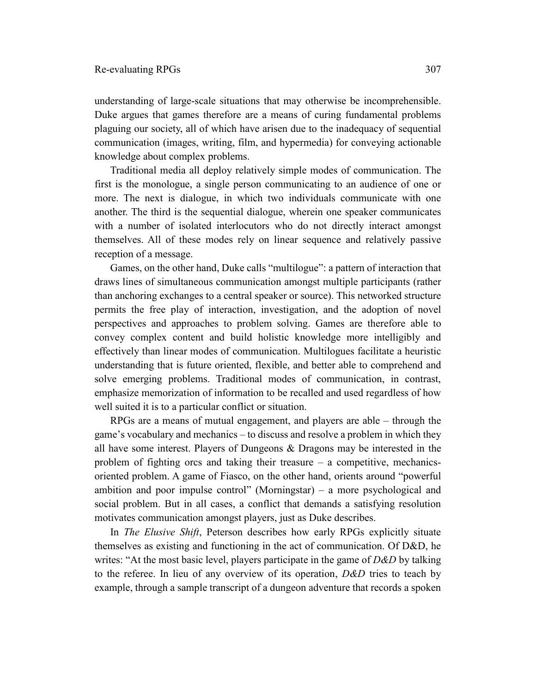understanding of large-scale situations that may otherwise be incomprehensible. Duke argues that games therefore are a means of curing fundamental problems plaguing our society, all of which have arisen due to the inadequacy of sequential communication (images, writing, film, and hypermedia) for conveying actionable knowledge about complex problems.

Traditional media all deploy relatively simple modes of communication. The first is the monologue, a single person communicating to an audience of one or more. The next is dialogue, in which two individuals communicate with one another. The third is the sequential dialogue, wherein one speaker communicates with a number of isolated interlocutors who do not directly interact amongst themselves. All of these modes rely on linear sequence and relatively passive reception of a message.

Games, on the other hand, Duke calls "multilogue": a pattern of interaction that draws lines of simultaneous communication amongst multiple participants (rather than anchoring exchanges to a central speaker or source). This networked structure permits the free play of interaction, investigation, and the adoption of novel perspectives and approaches to problem solving. Games are therefore able to convey complex content and build holistic knowledge more intelligibly and effectively than linear modes of communication. Multilogues facilitate a heuristic understanding that is future oriented, flexible, and better able to comprehend and solve emerging problems. Traditional modes of communication, in contrast, emphasize memorization of information to be recalled and used regardless of how well suited it is to a particular conflict or situation.

RPGs are a means of mutual engagement, and players are able – through the game's vocabulary and mechanics – to discuss and resolve a problem in which they all have some interest. Players of Dungeons & Dragons may be interested in the problem of fighting orcs and taking their treasure – a competitive, mechanicsoriented problem. A game of Fiasco, on the other hand, orients around "powerful ambition and poor impulse control" (Morningstar) – a more psychological and social problem. But in all cases, a conflict that demands a satisfying resolution motivates communication amongst players, just as Duke describes.

In *The Elusive Shift*, Peterson describes how early RPGs explicitly situate themselves as existing and functioning in the act of communication. Of D&D, he writes: "At the most basic level, players participate in the game of *D&D* by talking to the referee. In lieu of any overview of its operation, *D&D* tries to teach by example, through a sample transcript of a dungeon adventure that records a spoken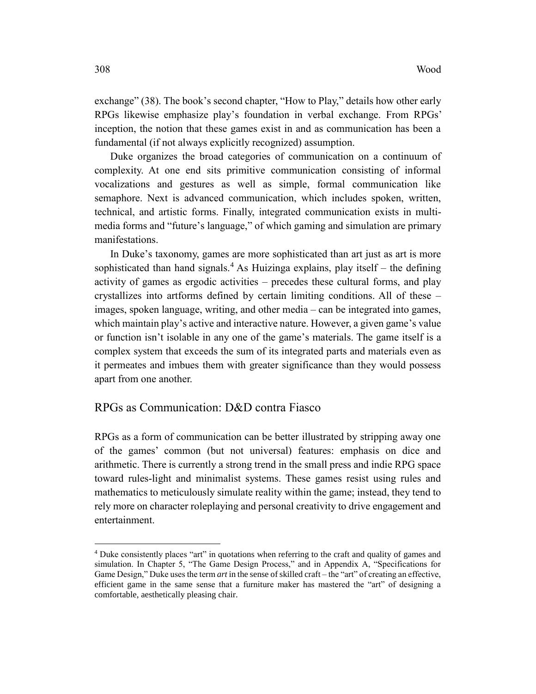exchange" (38). The book's second chapter, "How to Play," details how other early RPGs likewise emphasize play's foundation in verbal exchange. From RPGs' inception, the notion that these games exist in and as communication has been a fundamental (if not always explicitly recognized) assumption.

Duke organizes the broad categories of communication on a continuum of complexity. At one end sits primitive communication consisting of informal vocalizations and gestures as well as simple, formal communication like semaphore. Next is advanced communication, which includes spoken, written, technical, and artistic forms. Finally, integrated communication exists in multimedia forms and "future's language," of which gaming and simulation are primary manifestations.

In Duke's taxonomy, games are more sophisticated than art just as art is more sophisticated than hand signals.<sup>4</sup> As Huizinga explains, play itself – the defining activity of games as ergodic activities – precedes these cultural forms, and play crystallizes into artforms defined by certain limiting conditions. All of these – images, spoken language, writing, and other media – can be integrated into games, which maintain play's active and interactive nature. However, a given game's value or function isn't isolable in any one of the game's materials. The game itself is a complex system that exceeds the sum of its integrated parts and materials even as it permeates and imbues them with greater significance than they would possess apart from one another.

# RPGs as Communication: D&D contra Fiasco

RPGs as a form of communication can be better illustrated by stripping away one of the games' common (but not universal) features: emphasis on dice and arithmetic. There is currently a strong trend in the small press and indie RPG space toward rules-light and minimalist systems. These games resist using rules and mathematics to meticulously simulate reality within the game; instead, they tend to rely more on character roleplaying and personal creativity to drive engagement and entertainment.

 $\overline{a}$ 

<sup>4</sup> Duke consistently places "art" in quotations when referring to the craft and quality of games and simulation. In Chapter 5, "The Game Design Process," and in Appendix A, "Specifications for Game Design," Duke uses the term *art* in the sense of skilled craft – the "art" of creating an effective, efficient game in the same sense that a furniture maker has mastered the "art" of designing a comfortable, aesthetically pleasing chair.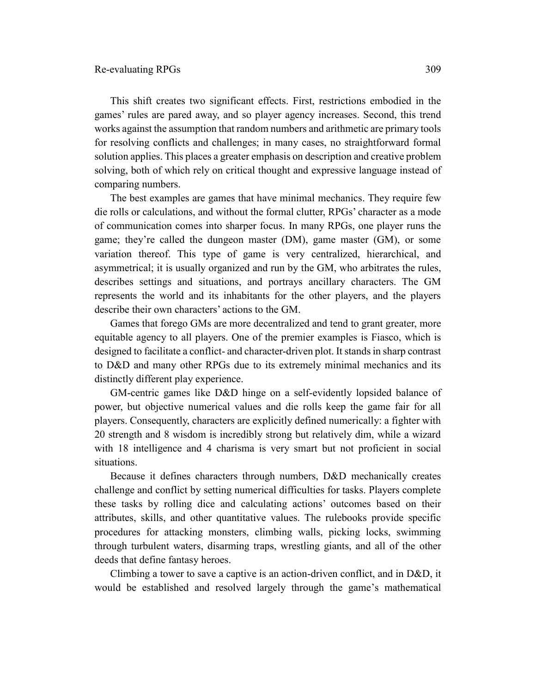This shift creates two significant effects. First, restrictions embodied in the games' rules are pared away, and so player agency increases. Second, this trend works against the assumption that random numbers and arithmetic are primary tools for resolving conflicts and challenges; in many cases, no straightforward formal solution applies. This places a greater emphasis on description and creative problem solving, both of which rely on critical thought and expressive language instead of comparing numbers.

The best examples are games that have minimal mechanics. They require few die rolls or calculations, and without the formal clutter, RPGs' character as a mode of communication comes into sharper focus. In many RPGs, one player runs the game; they're called the dungeon master (DM), game master (GM), or some variation thereof. This type of game is very centralized, hierarchical, and asymmetrical; it is usually organized and run by the GM, who arbitrates the rules, describes settings and situations, and portrays ancillary characters. The GM represents the world and its inhabitants for the other players, and the players describe their own characters' actions to the GM.

Games that forego GMs are more decentralized and tend to grant greater, more equitable agency to all players. One of the premier examples is Fiasco, which is designed to facilitate a conflict- and character-driven plot. It stands in sharp contrast to D&D and many other RPGs due to its extremely minimal mechanics and its distinctly different play experience.

GM-centric games like D&D hinge on a self-evidently lopsided balance of power, but objective numerical values and die rolls keep the game fair for all players. Consequently, characters are explicitly defined numerically: a fighter with 20 strength and 8 wisdom is incredibly strong but relatively dim, while a wizard with 18 intelligence and 4 charisma is very smart but not proficient in social situations.

Because it defines characters through numbers, D&D mechanically creates challenge and conflict by setting numerical difficulties for tasks. Players complete these tasks by rolling dice and calculating actions' outcomes based on their attributes, skills, and other quantitative values. The rulebooks provide specific procedures for attacking monsters, climbing walls, picking locks, swimming through turbulent waters, disarming traps, wrestling giants, and all of the other deeds that define fantasy heroes.

Climbing a tower to save a captive is an action-driven conflict, and in D&D, it would be established and resolved largely through the game's mathematical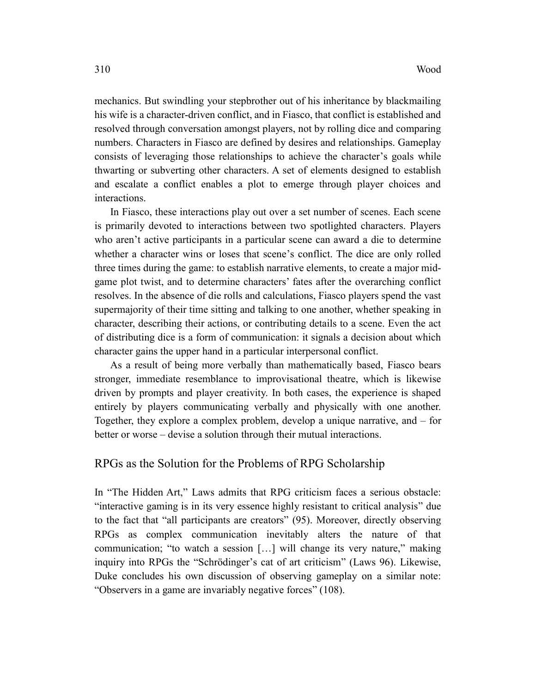mechanics. But swindling your stepbrother out of his inheritance by blackmailing his wife is a character-driven conflict, and in Fiasco, that conflict is established and resolved through conversation amongst players, not by rolling dice and comparing numbers. Characters in Fiasco are defined by desires and relationships. Gameplay consists of leveraging those relationships to achieve the character's goals while thwarting or subverting other characters. A set of elements designed to establish and escalate a conflict enables a plot to emerge through player choices and interactions.

In Fiasco, these interactions play out over a set number of scenes. Each scene is primarily devoted to interactions between two spotlighted characters. Players who aren't active participants in a particular scene can award a die to determine whether a character wins or loses that scene's conflict. The dice are only rolled three times during the game: to establish narrative elements, to create a major midgame plot twist, and to determine characters' fates after the overarching conflict resolves. In the absence of die rolls and calculations, Fiasco players spend the vast supermajority of their time sitting and talking to one another, whether speaking in character, describing their actions, or contributing details to a scene. Even the act of distributing dice is a form of communication: it signals a decision about which character gains the upper hand in a particular interpersonal conflict.

As a result of being more verbally than mathematically based, Fiasco bears stronger, immediate resemblance to improvisational theatre, which is likewise driven by prompts and player creativity. In both cases, the experience is shaped entirely by players communicating verbally and physically with one another. Together, they explore a complex problem, develop a unique narrative, and – for better or worse – devise a solution through their mutual interactions.

# RPGs as the Solution for the Problems of RPG Scholarship

In "The Hidden Art," Laws admits that RPG criticism faces a serious obstacle: "interactive gaming is in its very essence highly resistant to critical analysis" due to the fact that "all participants are creators" (95). Moreover, directly observing RPGs as complex communication inevitably alters the nature of that communication; "to watch a session […] will change its very nature," making inquiry into RPGs the "Schrödinger's cat of art criticism" (Laws 96). Likewise, Duke concludes his own discussion of observing gameplay on a similar note: "Observers in a game are invariably negative forces" (108).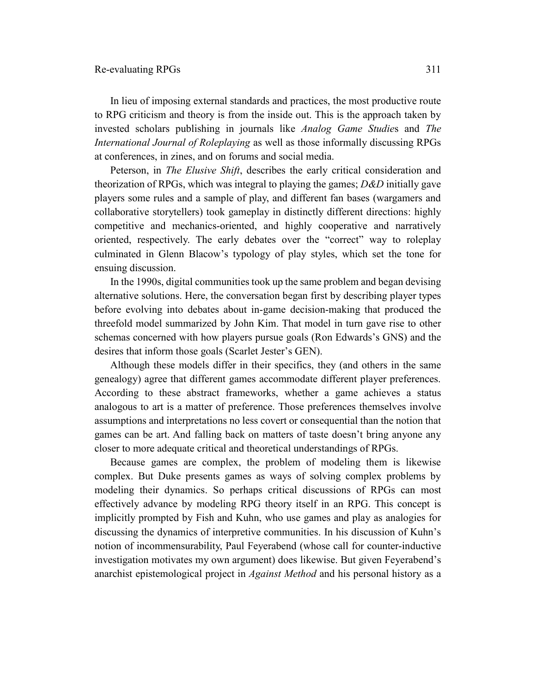In lieu of imposing external standards and practices, the most productive route to RPG criticism and theory is from the inside out. This is the approach taken by invested scholars publishing in journals like *Analog Game Studie*s and *The International Journal of Roleplaying* as well as those informally discussing RPGs at conferences, in zines, and on forums and social media.

Peterson, in *The Elusive Shift*, describes the early critical consideration and theorization of RPGs, which was integral to playing the games; *D&D* initially gave players some rules and a sample of play, and different fan bases (wargamers and collaborative storytellers) took gameplay in distinctly different directions: highly competitive and mechanics-oriented, and highly cooperative and narratively oriented, respectively. The early debates over the "correct" way to roleplay culminated in Glenn Blacow's typology of play styles, which set the tone for ensuing discussion.

In the 1990s, digital communities took up the same problem and began devising alternative solutions. Here, the conversation began first by describing player types before evolving into debates about in-game decision-making that produced the threefold model summarized by John Kim. That model in turn gave rise to other schemas concerned with how players pursue goals (Ron Edwards's GNS) and the desires that inform those goals (Scarlet Jester's GEN).

Although these models differ in their specifics, they (and others in the same genealogy) agree that different games accommodate different player preferences. According to these abstract frameworks, whether a game achieves a status analogous to art is a matter of preference. Those preferences themselves involve assumptions and interpretations no less covert or consequential than the notion that games can be art. And falling back on matters of taste doesn't bring anyone any closer to more adequate critical and theoretical understandings of RPGs.

Because games are complex, the problem of modeling them is likewise complex. But Duke presents games as ways of solving complex problems by modeling their dynamics. So perhaps critical discussions of RPGs can most effectively advance by modeling RPG theory itself in an RPG. This concept is implicitly prompted by Fish and Kuhn, who use games and play as analogies for discussing the dynamics of interpretive communities. In his discussion of Kuhn's notion of incommensurability, Paul Feyerabend (whose call for counter-inductive investigation motivates my own argument) does likewise. But given Feyerabend's anarchist epistemological project in *Against Method* and his personal history as a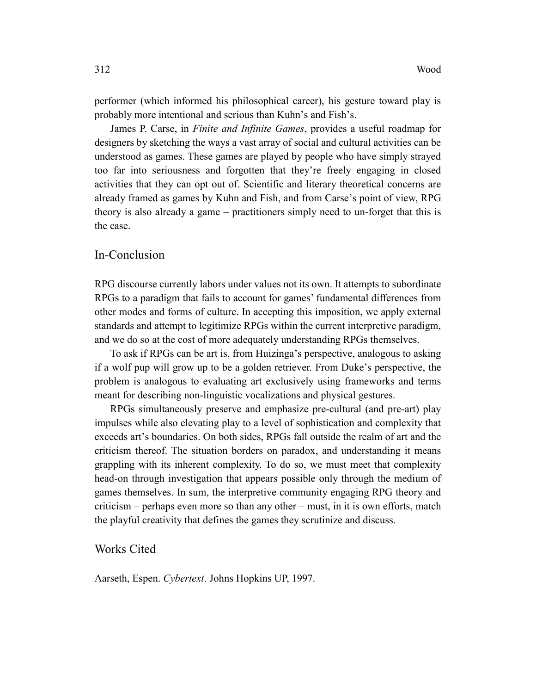performer (which informed his philosophical career), his gesture toward play is probably more intentional and serious than Kuhn's and Fish's.

James P. Carse, in *Finite and Infinite Games*, provides a useful roadmap for designers by sketching the ways a vast array of social and cultural activities can be understood as games. These games are played by people who have simply strayed too far into seriousness and forgotten that they're freely engaging in closed activities that they can opt out of. Scientific and literary theoretical concerns are already framed as games by Kuhn and Fish, and from Carse's point of view, RPG theory is also already a game – practitioners simply need to un-forget that this is the case.

# In-Conclusion

RPG discourse currently labors under values not its own. It attempts to subordinate RPGs to a paradigm that fails to account for games' fundamental differences from other modes and forms of culture. In accepting this imposition, we apply external standards and attempt to legitimize RPGs within the current interpretive paradigm, and we do so at the cost of more adequately understanding RPGs themselves.

To ask if RPGs can be art is, from Huizinga's perspective, analogous to asking if a wolf pup will grow up to be a golden retriever. From Duke's perspective, the problem is analogous to evaluating art exclusively using frameworks and terms meant for describing non-linguistic vocalizations and physical gestures.

RPGs simultaneously preserve and emphasize pre-cultural (and pre-art) play impulses while also elevating play to a level of sophistication and complexity that exceeds art's boundaries. On both sides, RPGs fall outside the realm of art and the criticism thereof. The situation borders on paradox, and understanding it means grappling with its inherent complexity. To do so, we must meet that complexity head-on through investigation that appears possible only through the medium of games themselves. In sum, the interpretive community engaging RPG theory and criticism – perhaps even more so than any other – must, in it is own efforts, match the playful creativity that defines the games they scrutinize and discuss.

Works Cited

Aarseth, Espen. *Cybertext*. Johns Hopkins UP, 1997.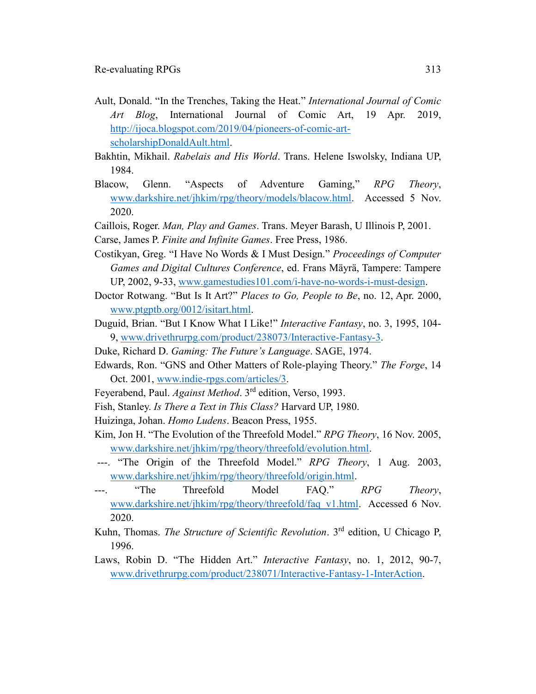- Ault, Donald. "In the Trenches, Taking the Heat." *International Journal of Comic Art Blog*, International Journal of Comic Art, 19 Apr. 2019, [http://ijoca.blogspot.com/2019/04/pioneers-of-comic-art](http://ijoca.blogspot.com/2019/04/pioneers-of-comic-art-scholarshipDonaldAult.html)[scholarshipDonaldAult.html.](http://ijoca.blogspot.com/2019/04/pioneers-of-comic-art-scholarshipDonaldAult.html)
- Bakhtin, Mikhail. *Rabelais and His World*. Trans. Helene Iswolsky, Indiana UP, 1984.
- Blacow, Glenn. "Aspects of Adventure Gaming," *RPG Theory*, [www.darkshire.net/jhkim/rpg/theory/models/blacow.html.](http://www.darkshire.net/jhkim/rpg/theory/models/blacow.html) Accessed 5 Nov. 2020.
- Caillois, Roger. *Man, Play and Games*. Trans. Meyer Barash, U Illinois P, 2001.
- Carse, James P. *Finite and Infinite Games*. Free Press, 1986.
- Costikyan, Greg. "I Have No Words & I Must Design." *Proceedings of Computer Games and Digital Cultures Conference*, ed. Frans Mäyrä, Tampere: Tampere UP, 2002, 9-33, [www.gamestudies101.com/i-have-no-words-i-must-design.](http://www.gamestudies101.com/i-have-no-words-i-must-design)
- Doctor Rotwang. "But Is It Art?" *Places to Go, People to Be*, no. 12, Apr. 2000, [www.ptgptb.org/0012/isitart.html.](http://www.ptgptb.org/0012/isitart.html)
- Duguid, Brian. "But I Know What I Like!" *Interactive Fantasy*, no. 3, 1995, 104- 9, [www.drivethrurpg.com/product/238073/Interactive-Fantasy-3.](http://www.drivethrurpg.com/product/238073/Interactive-Fantasy-3)
- Duke, Richard D. *Gaming: The Future's Language*. SAGE, 1974.
- Edwards, Ron. "GNS and Other Matters of Role-playing Theory." *The Forge*, 14 Oct. 2001, [www.indie-rpgs.com/articles/3.](http://www.indie-rpgs.com/articles/3)
- Feyerabend, Paul. *Against Method*. 3rd edition, Verso, 1993.
- Fish, Stanley. *Is There a Text in This Class?* Harvard UP, 1980.
- Huizinga, Johan. *Homo Ludens*. Beacon Press, 1955.
- Kim, Jon H. "The Evolution of the Threefold Model." *RPG Theory*, 16 Nov. 2005, [www.darkshire.net/jhkim/rpg/theory/threefold/evolution.html.](http://www.darkshire.net/jhkim/rpg/theory/threefold/evolution.html)
- ---. "The Origin of the Threefold Model." *RPG Theory*, 1 Aug. 2003, [www.darkshire.net/jhkim/rpg/theory/threefold/origin.html.](http://www.darkshire.net/jhkim/rpg/theory/threefold/origin.html)
- ---. "The Threefold Model FAQ." *RPG Theory*, [www.darkshire.net/jhkim/rpg/theory/threefold/faq\\_v1.html.](http://www.darkshire.net/jhkim/rpg/theory/threefold/faq_v1.html) Accessed 6 Nov. 2020.
- Kuhn, Thomas. *The Structure of Scientific Revolution*. 3rd edition, U Chicago P, 1996.
- Laws, Robin D. "The Hidden Art." *Interactive Fantasy*, no. 1, 2012, 90-7, [www.drivethrurpg.com/product/238071/Interactive-Fantasy-1-InterAction.](http://www.drivethrurpg.com/product/238071/Interactive-Fantasy-1-InterAction)